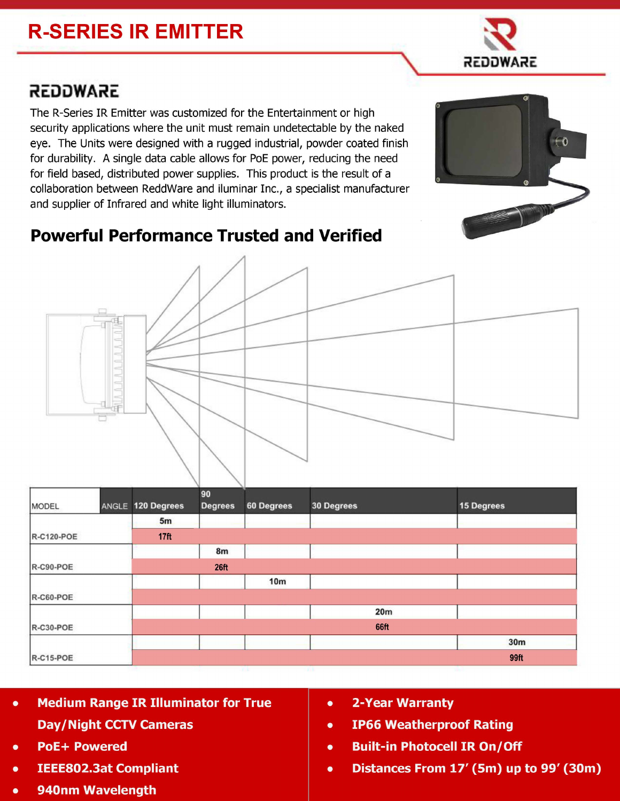## **R-SERIES IR EMITTER**

## REDOWARE

The R-Series IR Emitter was customized for the Entertainment or high security applications where the unit must remain undetectable by the naked eye. The Units were designed with a rugged industrial, powder coated finish for durability. A single data cable allows for PoE power, reducing the need for field based, distributed power supplies. This product is the result of a collaboration between ReddWare and iluminar Inc., a specialist manufacturer and supplier of Infrared and white light illuminators.

## **Powerful Performance Trusted and Verified**



| MODEL             |  | ANGLE 120 Degrees | 90<br><b>Degrees</b> | 60 Degrees      | 30 Degrees | 15 Degrees      |  |  |
|-------------------|--|-------------------|----------------------|-----------------|------------|-----------------|--|--|
|                   |  | 5m                |                      |                 |            |                 |  |  |
| <b>R-C120-POE</b> |  | 17 <sub>ft</sub>  |                      |                 |            |                 |  |  |
|                   |  |                   | 8m                   |                 |            |                 |  |  |
| R-C90-POE         |  |                   | 26 <sub>ft</sub>     |                 |            |                 |  |  |
|                   |  |                   |                      | 10 <sub>m</sub> |            |                 |  |  |
| R-C60-POE         |  |                   |                      |                 |            |                 |  |  |
|                   |  |                   |                      |                 | 20m        |                 |  |  |
| $R-C30-POE$       |  | 66ft              |                      |                 |            |                 |  |  |
|                   |  |                   |                      |                 |            | 30 <sub>m</sub> |  |  |
| R-C15-POE         |  |                   |                      |                 |            | 99ft            |  |  |

- **Medium Range IR Illuminator for True Day/Night CCTV Cameras**
- **PoE+ Powered**
- **IEEE802.3at Compliant**
- 940nm Wavelength
- **2-Year Warranty**  $\bullet$
- **IP66 Weatherproof Rating**  $\bullet$
- **Built-in Photocell IR On/Off**  $\bullet$
- Distances From 17' (5m) up to 99' (30m)